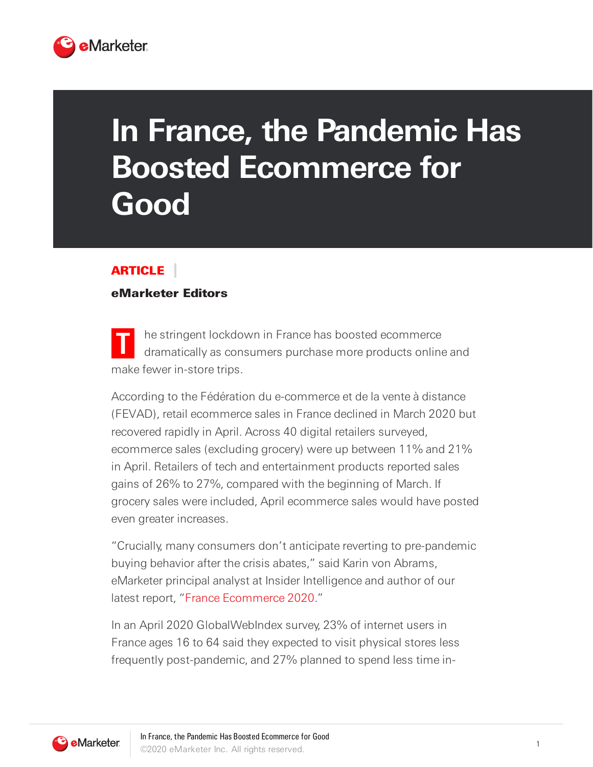

## **In France, the Pandemic Has Boosted Ecommerce for Good**

## ARTICLE

## eMarketer Editors

**T** he stringent lockdown in France has boosted ecommerce dramatically as consumers purchase more products online and make fewer in-store trips.

According to the Fédération du e-commerce et de la vente à distance (FEVAD), retail ecommerce sales in France declined in March 2020 but recovered rapidly in April. Across 40 digital retailers surveyed, ecommerce sales (excluding grocery) were up between 11% and 21% in April. Retailers of tech and entertainment products reported sales gains of 26% to 27%, compared with the beginning of March. If grocery sales were included, April ecommerce sales would have posted even greater increases.

"Crucially, many consumers don't anticipate reverting to pre-pandemic buying behavior after the crisis abates," said Karin von Abrams, eMarketer principal analyst at Insider Intelligence and author of our latest report, "France Ecommerce 2020."

In an April 2020 GlobalWebIndex survey, 23% of internet users in France ages 16 to 64 said they expected to visit physical stores less frequently post-pandemic, and 27% planned to spend less time in-

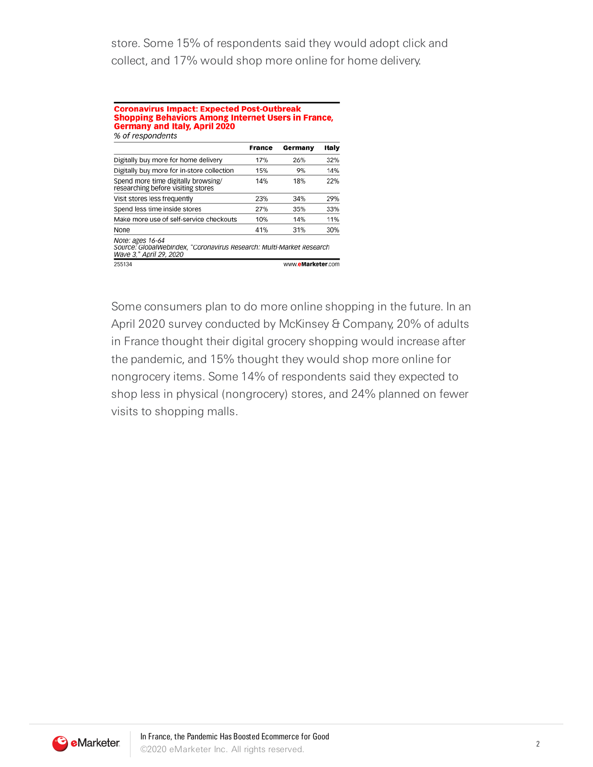store. Some 15% of respondents said they would adopt click and collect, and 17% would shop more online for home delivery.

## **Coronavirus Impact: Expected Post-Outbreak Shopping Behaviors Among Internet Users in France, Germany and Italy, April 2020** % of respondents

|                                                                                                                     | France | Germany           | <b>Italy</b> |
|---------------------------------------------------------------------------------------------------------------------|--------|-------------------|--------------|
| Digitally buy more for home delivery                                                                                | 17%    | 26%               | 32%          |
| Digitally buy more for in-store collection                                                                          | 15%    | 9%                | 14%          |
| Spend more time digitally browsing/<br>researching before visiting stores                                           | 14%    | 18%               | 22%          |
| Visit stores less frequently                                                                                        | 23%    | 34%               | 29%          |
| Spend less time inside stores                                                                                       | 27%    | 35%               | 33%          |
| Make more use of self-service checkouts                                                                             | 10%    | 14%               | 11%          |
| None                                                                                                                | 41%    | 31%               | 30%          |
| Note: ages 16-64<br>Source: GlobalWebIndex, "Coronavirus Research: Multi-Market Research<br>Wave 3," April 29, 2020 |        |                   |              |
| 255134                                                                                                              |        | www.eMarketer.com |              |

Some consumers plan to do more online shopping in the future. In an April 2020 survey conducted by McKinsey & Company, 20% of adults in France thought their digital grocery shopping would increase after the pandemic, and 15% thought they would shop more online for nongrocery items. Some 14% of respondents said they expected to shop less in physical (nongrocery) stores, and 24% planned on fewer visits to shopping malls.

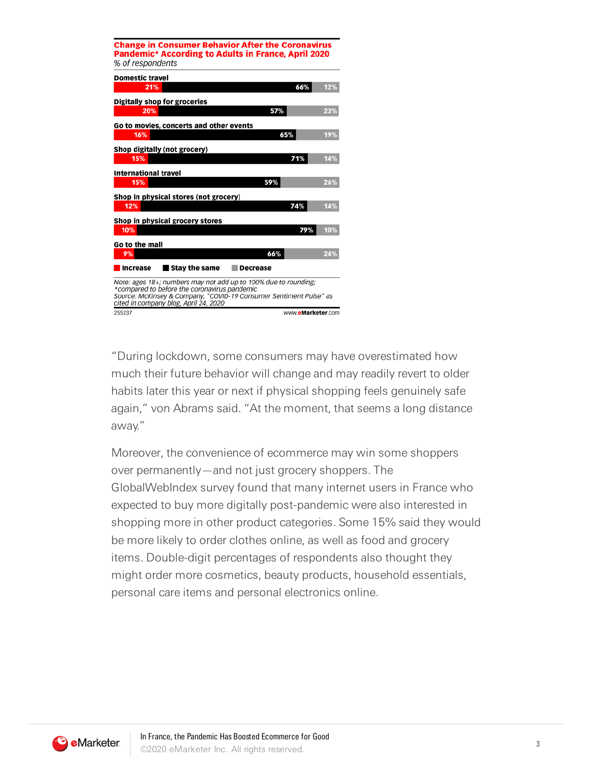| <b>Change in Consumer Behavior After the Coronavirus</b><br>Pandemic* According to Adults in France, April 2020<br>% of respondents                                                                                            |                   |  |
|--------------------------------------------------------------------------------------------------------------------------------------------------------------------------------------------------------------------------------|-------------------|--|
| <b>Domestic travel</b>                                                                                                                                                                                                         |                   |  |
| 21%                                                                                                                                                                                                                            | 66%<br>12%        |  |
| Digitally shop for groceries                                                                                                                                                                                                   |                   |  |
| 20%                                                                                                                                                                                                                            | 57%<br>23%        |  |
| Go to movies, concerts and other events                                                                                                                                                                                        |                   |  |
| 16%                                                                                                                                                                                                                            | 19%<br>65%        |  |
| Shop digitally (not grocery)                                                                                                                                                                                                   |                   |  |
| 15%                                                                                                                                                                                                                            | 71%<br>14%        |  |
| <b>International travel</b>                                                                                                                                                                                                    |                   |  |
| 15%                                                                                                                                                                                                                            | 59%<br>26%        |  |
| Shop in physical stores (not grocery)                                                                                                                                                                                          |                   |  |
| 12%                                                                                                                                                                                                                            | 14%<br>74%        |  |
| Shop in physical grocery stores                                                                                                                                                                                                |                   |  |
| 10%                                                                                                                                                                                                                            | 79%<br>10%        |  |
| Go to the mall                                                                                                                                                                                                                 |                   |  |
| 9%                                                                                                                                                                                                                             | 66%<br>24%        |  |
| l Stav the same<br><b>Increase</b>                                                                                                                                                                                             | Decrease          |  |
| Note: ages 18+; numbers may not add up to 100% due to rounding;<br>*compared to before the coronavirus pandemic<br>Source: McKinsey & Company, "COVID-19 Consumer Sentiment Pulse" as<br>cited in company blog, April 24, 2020 |                   |  |
| 255237                                                                                                                                                                                                                         | www.eMarketer.com |  |

"During lockdown, some consumers may have overestimated how much their future behavior will change and may readily revert to older habits later this year or next if physical shopping feels genuinely safe again," von Abrams said. "At the moment, that seems a long distance away."

Moreover, the convenience of ecommerce may win some shoppers over permanently—and not just grocery shoppers. The GlobalWebIndex survey found that many internet users in France who expected to buy more digitally post-pandemic were also interested in shopping more in other product categories. Some 15% said they would be more likely to order clothes online, as well as food and grocery items. Double-digit percentages of respondents also thought they might order more cosmetics, beauty products, household essentials, personal care items and personal electronics online.